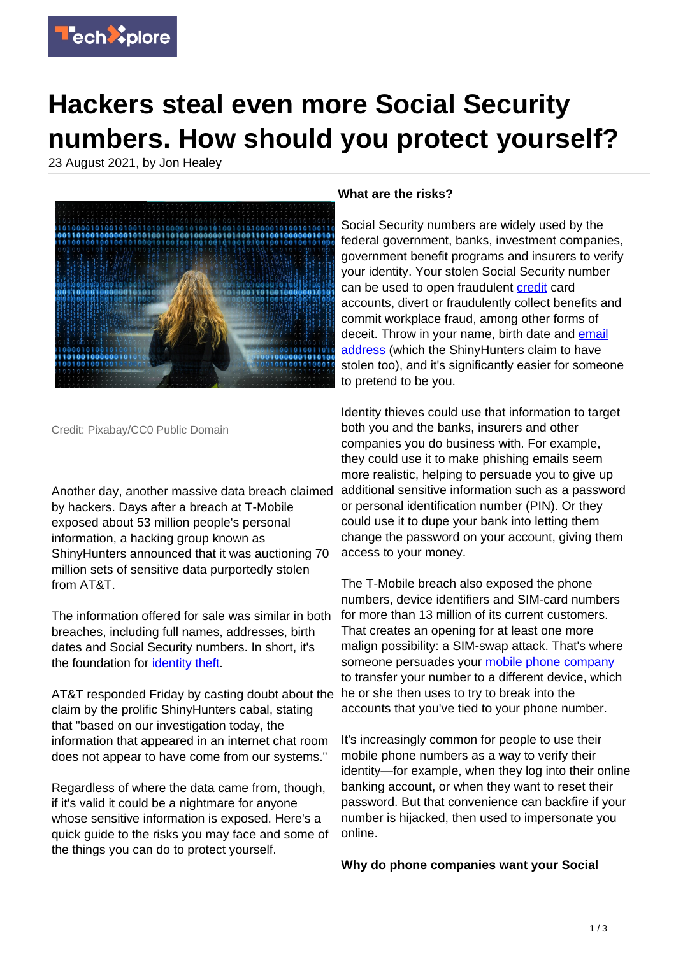

## **Hackers steal even more Social Security numbers. How should you protect yourself?**

23 August 2021, by Jon Healey



Credit: Pixabay/CC0 Public Domain

Another day, another massive data breach claimed by hackers. Days after a breach at T-Mobile exposed about 53 million people's personal information, a hacking group known as ShinyHunters announced that it was auctioning 70 million sets of sensitive data purportedly stolen from AT&T.

The information offered for sale was similar in both breaches, including full names, addresses, birth dates and Social Security numbers. In short, it's the foundation for *identity theft*.

AT&T responded Friday by casting doubt about the claim by the prolific ShinyHunters cabal, stating that "based on our investigation today, the information that appeared in an internet chat room does not appear to have come from our systems."

Regardless of where the data came from, though, if it's valid it could be a nightmare for anyone whose sensitive information is exposed. Here's a quick guide to the risks you may face and some of the things you can do to protect yourself.

## **What are the risks?**

Social Security numbers are widely used by the federal government, banks, investment companies, government benefit programs and insurers to verify your identity. Your stolen Social Security number can be used to open fraudulent [credit](https://techxplore.com/tags/credit/) card accounts, divert or fraudulently collect benefits and commit workplace fraud, among other forms of deceit. Throw in your name, birth date and [email](https://techxplore.com/tags/email+address/) [address](https://techxplore.com/tags/email+address/) (which the ShinyHunters claim to have stolen too), and it's significantly easier for someone to pretend to be you.

Identity thieves could use that information to target both you and the banks, insurers and other companies you do business with. For example, they could use it to make phishing emails seem more realistic, helping to persuade you to give up additional sensitive information such as a password or personal identification number (PIN). Or they could use it to dupe your bank into letting them change the password on your account, giving them access to your money.

The T-Mobile breach also exposed the phone numbers, device identifiers and SIM-card numbers for more than 13 million of its current customers. That creates an opening for at least one more malign possibility: a SIM-swap attack. That's where someone persuades your [mobile phone company](https://techxplore.com/tags/mobile+phone+company/) to transfer your number to a different device, which he or she then uses to try to break into the accounts that you've tied to your phone number.

It's increasingly common for people to use their mobile phone numbers as a way to verify their identity—for example, when they log into their online banking account, or when they want to reset their password. But that convenience can backfire if your number is hijacked, then used to impersonate you online.

**Why do phone companies want your Social**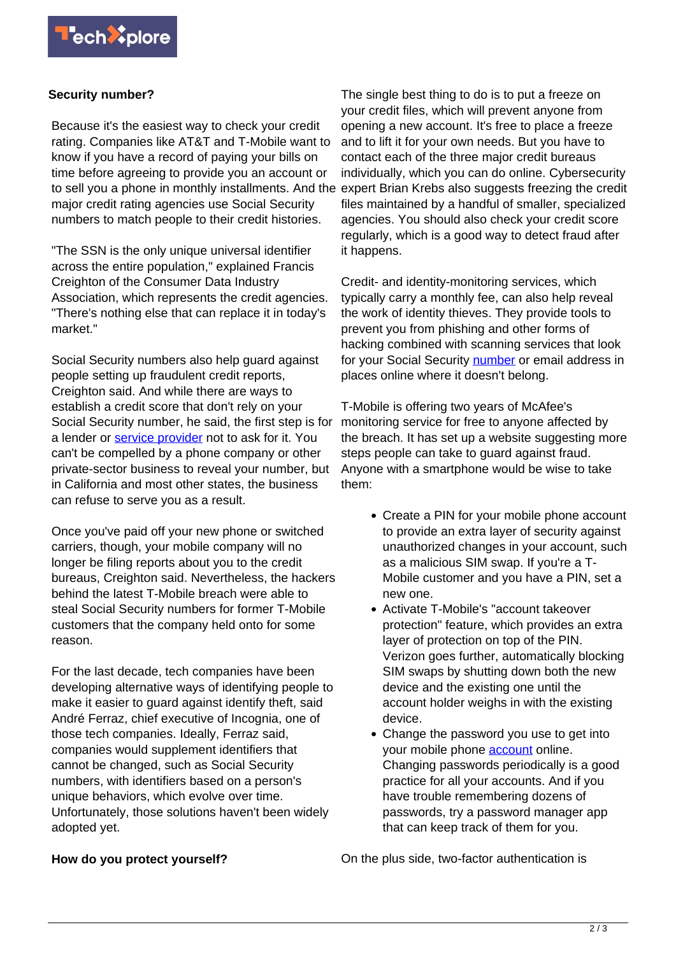

## **Security number?**

Because it's the easiest way to check your credit rating. Companies like AT&T and T-Mobile want to know if you have a record of paying your bills on time before agreeing to provide you an account or to sell you a phone in monthly installments. And the major credit rating agencies use Social Security numbers to match people to their credit histories.

"The SSN is the only unique universal identifier across the entire population," explained Francis Creighton of the Consumer Data Industry Association, which represents the credit agencies. "There's nothing else that can replace it in today's market."

Social Security numbers also help guard against people setting up fraudulent credit reports, Creighton said. And while there are ways to establish a credit score that don't rely on your Social Security number, he said, the first step is for a lender or [service provider](https://techxplore.com/tags/service+provider/) not to ask for it. You can't be compelled by a phone company or other private-sector business to reveal your number, but in California and most other states, the business can refuse to serve you as a result.

Once you've paid off your new phone or switched carriers, though, your mobile company will no longer be filing reports about you to the credit bureaus, Creighton said. Nevertheless, the hackers behind the latest T-Mobile breach were able to steal Social Security numbers for former T-Mobile customers that the company held onto for some reason.

For the last decade, tech companies have been developing alternative ways of identifying people to make it easier to quard against identify theft, said André Ferraz, chief executive of Incognia, one of those tech companies. Ideally, Ferraz said, companies would supplement identifiers that cannot be changed, such as Social Security numbers, with identifiers based on a person's unique behaviors, which evolve over time. Unfortunately, those solutions haven't been widely adopted yet.

The single best thing to do is to put a freeze on your credit files, which will prevent anyone from opening a new account. It's free to place a freeze and to lift it for your own needs. But you have to contact each of the three major credit bureaus individually, which you can do online. Cybersecurity expert Brian Krebs also suggests freezing the credit files maintained by a handful of smaller, specialized agencies. You should also check your credit score regularly, which is a good way to detect fraud after it happens.

Credit- and identity-monitoring services, which typically carry a monthly fee, can also help reveal the work of identity thieves. They provide tools to prevent you from phishing and other forms of hacking combined with scanning services that look for your Social Security [number](https://techxplore.com/tags/number/) or email address in places online where it doesn't belong.

T-Mobile is offering two years of McAfee's monitoring service for free to anyone affected by the breach. It has set up a website suggesting more steps people can take to quard against fraud. Anyone with a smartphone would be wise to take them:

- Create a PIN for your mobile phone account to provide an extra layer of security against unauthorized changes in your account, such as a malicious SIM swap. If you're a T-Mobile customer and you have a PIN, set a new one.
- Activate T-Mobile's "account takeover protection" feature, which provides an extra layer of protection on top of the PIN. Verizon goes further, automatically blocking SIM swaps by shutting down both the new device and the existing one until the account holder weighs in with the existing device.
- Change the password you use to get into your mobile phone [account](https://techxplore.com/tags/account/) online. Changing passwords periodically is a good practice for all your accounts. And if you have trouble remembering dozens of passwords, try a password manager app that can keep track of them for you.

On the plus side, two-factor authentication is

## **How do you protect yourself?**